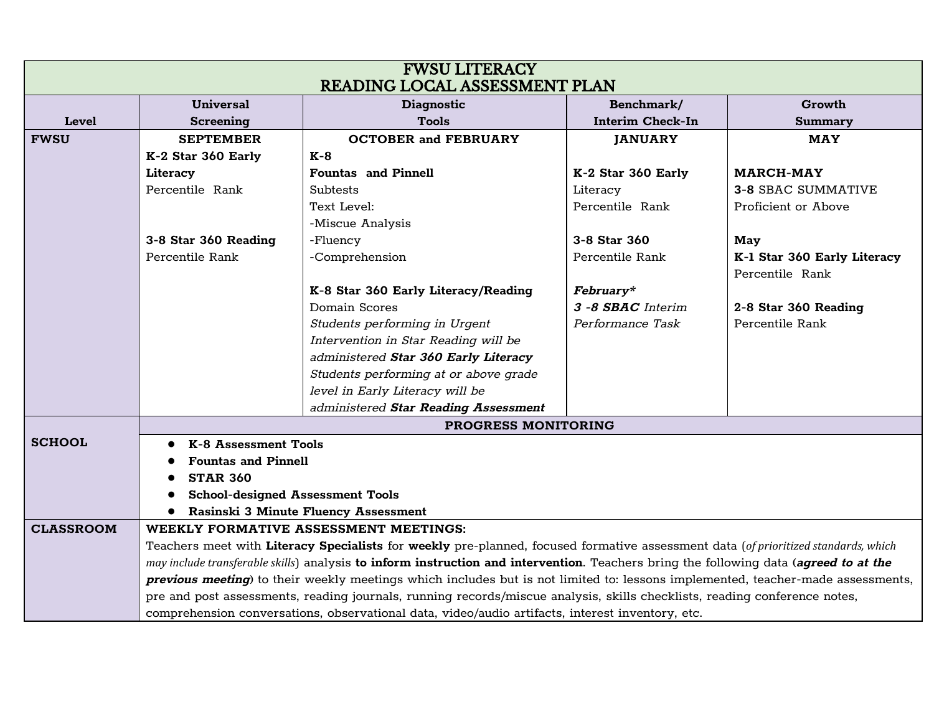| <b>FWSU LITERACY</b>          |                                                                                                                                       |                                       |                         |                             |  |  |  |
|-------------------------------|---------------------------------------------------------------------------------------------------------------------------------------|---------------------------------------|-------------------------|-----------------------------|--|--|--|
| READING LOCAL ASSESSMENT PLAN |                                                                                                                                       |                                       |                         |                             |  |  |  |
|                               | <b>Universal</b>                                                                                                                      | <b>Diagnostic</b>                     | Benchmark/              | Growth                      |  |  |  |
| <b>Level</b>                  | <b>Screening</b>                                                                                                                      | <b>Tools</b>                          | <b>Interim Check-In</b> | <b>Summary</b>              |  |  |  |
| <b>FWSU</b>                   | <b>SEPTEMBER</b>                                                                                                                      | <b>OCTOBER and FEBRUARY</b>           | <b>JANUARY</b>          | <b>MAY</b>                  |  |  |  |
|                               | K-2 Star 360 Early                                                                                                                    | $K-8$                                 |                         |                             |  |  |  |
|                               | Literacy                                                                                                                              | <b>Fountas and Pinnell</b>            | K-2 Star 360 Early      | <b>MARCH-MAY</b>            |  |  |  |
|                               | Percentile Rank                                                                                                                       | <b>Subtests</b>                       | Literacy                | <b>3-8 SBAC SUMMATIVE</b>   |  |  |  |
|                               |                                                                                                                                       | Text Level:                           | Percentile Rank         | Proficient or Above         |  |  |  |
|                               |                                                                                                                                       | -Miscue Analysis                      |                         |                             |  |  |  |
|                               | 3-8 Star 360 Reading                                                                                                                  | -Fluency                              | 3-8 Star 360            | May                         |  |  |  |
|                               | Percentile Rank                                                                                                                       | -Comprehension                        | Percentile Rank         | K-1 Star 360 Early Literacy |  |  |  |
|                               |                                                                                                                                       |                                       |                         | Percentile Rank             |  |  |  |
|                               |                                                                                                                                       | K-8 Star 360 Early Literacy/Reading   | February*               |                             |  |  |  |
|                               |                                                                                                                                       | Domain Scores                         | 3 -8 SBAC Interim       | 2-8 Star 360 Reading        |  |  |  |
|                               |                                                                                                                                       | Students performing in Urgent         | Performance Task        | Percentile Rank             |  |  |  |
|                               |                                                                                                                                       | Intervention in Star Reading will be  |                         |                             |  |  |  |
|                               |                                                                                                                                       | administered Star 360 Early Literacy  |                         |                             |  |  |  |
|                               |                                                                                                                                       | Students performing at or above grade |                         |                             |  |  |  |
|                               |                                                                                                                                       | level in Early Literacy will be       |                         |                             |  |  |  |
|                               |                                                                                                                                       | administered Star Reading Assessment  |                         |                             |  |  |  |
|                               | <b>PROGRESS MONITORING</b>                                                                                                            |                                       |                         |                             |  |  |  |
| <b>SCHOOL</b>                 | K-8 Assessment Tools                                                                                                                  |                                       |                         |                             |  |  |  |
|                               | <b>Fountas and Pinnell</b>                                                                                                            |                                       |                         |                             |  |  |  |
|                               | <b>STAR 360</b>                                                                                                                       |                                       |                         |                             |  |  |  |
|                               | <b>School-designed Assessment Tools</b>                                                                                               |                                       |                         |                             |  |  |  |
|                               | Rasinski 3 Minute Fluency Assessment                                                                                                  |                                       |                         |                             |  |  |  |
| <b>CLASSROOM</b>              |                                                                                                                                       | WEEKLY FORMATIVE ASSESSMENT MEETINGS: |                         |                             |  |  |  |
|                               | Teachers meet with Literacy Specialists for weekly pre-planned, focused formative assessment data (of prioritized standards, which    |                                       |                         |                             |  |  |  |
|                               | may include transferable skills) analysis to inform instruction and intervention. Teachers bring the following data (agreed to at the |                                       |                         |                             |  |  |  |
|                               | previous meeting) to their weekly meetings which includes but is not limited to: lessons implemented, teacher-made assessments,       |                                       |                         |                             |  |  |  |
|                               | pre and post assessments, reading journals, running records/miscue analysis, skills checklists, reading conference notes,             |                                       |                         |                             |  |  |  |
|                               | comprehension conversations, observational data, video/audio artifacts, interest inventory, etc.                                      |                                       |                         |                             |  |  |  |